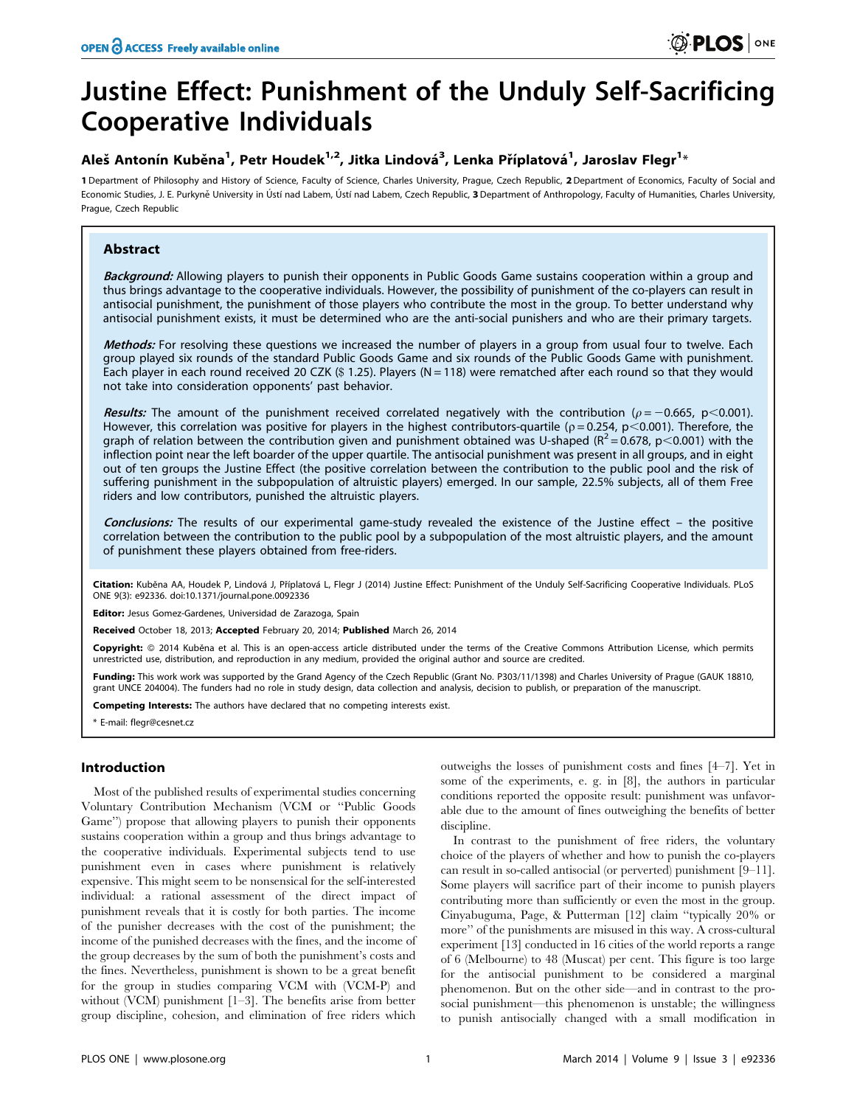# Justine Effect: Punishment of the Unduly Self-Sacrificing Cooperative Individuals

# Aleš Antonín Kuběna<sup>1</sup>, Petr Houdek<sup>1,2</sup>, Jitka Lindová<sup>3</sup>, Lenka Příplatová<sup>1</sup>, Jaroslav Flegr<sup>1</sup>\*

1 Department of Philosophy and History of Science, Faculty of Science, Charles University, Prague, Czech Republic, 2Department of Economics, Faculty of Social and Economic Studies, J. E. Purkyně University in Ústí nad Labem, Ústí nad Labem, Czech Republic, 3 Department of Anthropology, Faculty of Humanities, Charles University, Prague, Czech Republic

## Abstract

Background: Allowing players to punish their opponents in Public Goods Game sustains cooperation within a group and thus brings advantage to the cooperative individuals. However, the possibility of punishment of the co-players can result in antisocial punishment, the punishment of those players who contribute the most in the group. To better understand why antisocial punishment exists, it must be determined who are the anti-social punishers and who are their primary targets.

Methods: For resolving these questions we increased the number of players in a group from usual four to twelve. Each group played six rounds of the standard Public Goods Game and six rounds of the Public Goods Game with punishment. Each player in each round received 20 CZK  $(\$ 1.25)$ . Players  $(N = 118)$  were rematched after each round so that they would not take into consideration opponents' past behavior.

Results: The amount of the punishment received correlated negatively with the contribution ( $\rho = -0.665$ , p<0.001). However, this correlation was positive for players in the highest contributors-quartile ( $p = 0.254$ ,  $p \le 0.001$ ). Therefore, the graph of relation between the contribution given and punishment obtained was U-shaped ( $R^2 = 0.678$ , p<0.001) with the inflection point near the left boarder of the upper quartile. The antisocial punishment was present in all groups, and in eight out of ten groups the Justine Effect (the positive correlation between the contribution to the public pool and the risk of suffering punishment in the subpopulation of altruistic players) emerged. In our sample, 22.5% subjects, all of them Free riders and low contributors, punished the altruistic players.

Conclusions: The results of our experimental game-study revealed the existence of the Justine effect – the positive correlation between the contribution to the public pool by a subpopulation of the most altruistic players, and the amount of punishment these players obtained from free-riders.

Citation: Kuběna AA, Houdek P, Lindová J, Příplatová L, Flegr J (2014) Justine Effect: Punishment of the Unduly Self-Sacrificing Cooperative Individuals. PLoS ONE 9(3): e92336. doi:10.1371/journal.pone.0092336

Editor: Jesus Gomez-Gardenes, Universidad de Zarazoga, Spain

Received October 18, 2013; Accepted February 20, 2014; Published March 26, 2014

Copyright: © 2014 Kuběna et al. This is an open-access article distributed under the terms of the [Creative Commons Attribution License,](http://creativecommons.org/licenses/by/4.0/) which permits unrestricted use, distribution, and reproduction in any medium, provided the original author and source are credited.

Funding: This work work was supported by the Grand Agency of the Czech Republic (Grant No. P303/11/1398) and Charles University of Prague (GAUK 18810, grant UNCE 204004). The funders had no role in study design, data collection and analysis, decision to publish, or preparation of the manuscript.

Competing Interests: The authors have declared that no competing interests exist.

\* E-mail: flegr@cesnet.cz

### Introduction

Most of the published results of experimental studies concerning Voluntary Contribution Mechanism (VCM or ''Public Goods Game'') propose that allowing players to punish their opponents sustains cooperation within a group and thus brings advantage to the cooperative individuals. Experimental subjects tend to use punishment even in cases where punishment is relatively expensive. This might seem to be nonsensical for the self-interested individual: a rational assessment of the direct impact of punishment reveals that it is costly for both parties. The income of the punisher decreases with the cost of the punishment; the income of the punished decreases with the fines, and the income of the group decreases by the sum of both the punishment's costs and the fines. Nevertheless, punishment is shown to be a great benefit for the group in studies comparing VCM with (VCM-P) and without (VCM) punishment [1–3]. The benefits arise from better group discipline, cohesion, and elimination of free riders which

outweighs the losses of punishment costs and fines [4–7]. Yet in some of the experiments, e. g. in [8], the authors in particular conditions reported the opposite result: punishment was unfavorable due to the amount of fines outweighing the benefits of better discipline.

In contrast to the punishment of free riders, the voluntary choice of the players of whether and how to punish the co-players can result in so-called antisocial (or perverted) punishment [9–11]. Some players will sacrifice part of their income to punish players contributing more than sufficiently or even the most in the group. Cinyabuguma, Page, & Putterman [12] claim ''typically 20% or more'' of the punishments are misused in this way. A cross-cultural experiment [13] conducted in 16 cities of the world reports a range of 6 (Melbourne) to 48 (Muscat) per cent. This figure is too large for the antisocial punishment to be considered a marginal phenomenon. But on the other side—and in contrast to the prosocial punishment—this phenomenon is unstable; the willingness to punish antisocially changed with a small modification in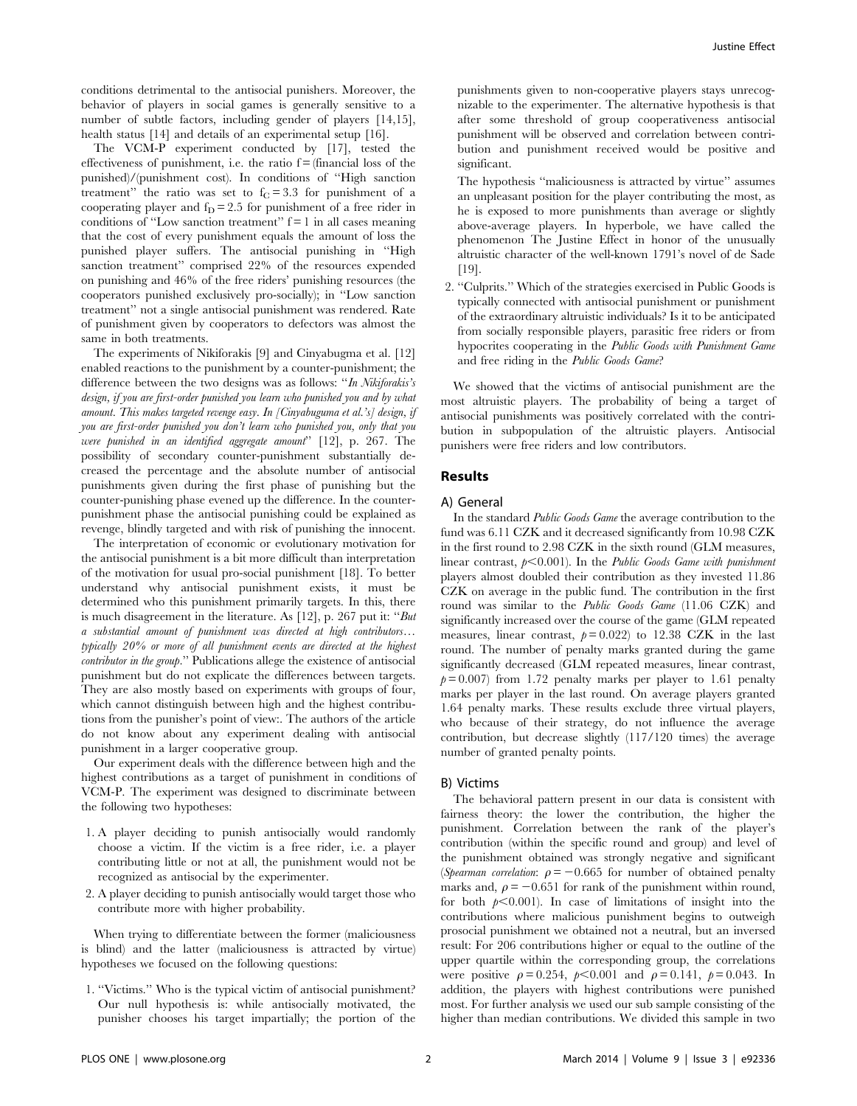conditions detrimental to the antisocial punishers. Moreover, the behavior of players in social games is generally sensitive to a number of subtle factors, including gender of players [14,15], health status [14] and details of an experimental setup [16].

The VCM-P experiment conducted by [17], tested the effectiveness of punishment, i.e. the ratio  $f = (f_{\text{inanicial}})$  loss of the punished)/(punishment cost). In conditions of ''High sanction treatment" the ratio was set to  $f<sub>C</sub> = 3.3$  for punishment of a cooperating player and  $f_D = 2.5$  for punishment of a free rider in conditions of "Low sanction treatment"  $f = 1$  in all cases meaning that the cost of every punishment equals the amount of loss the punished player suffers. The antisocial punishing in ''High sanction treatment'' comprised 22% of the resources expended on punishing and 46% of the free riders' punishing resources (the cooperators punished exclusively pro-socially); in ''Low sanction treatment'' not a single antisocial punishment was rendered. Rate of punishment given by cooperators to defectors was almost the same in both treatments.

The experiments of Nikiforakis [9] and Cinyabugma et al. [12] enabled reactions to the punishment by a counter-punishment; the difference between the two designs was as follows: "In Nikiforakis's design, if you are first-order punished you learn who punished you and by what amount. This makes targeted revenge easy. In [Cinyabuguma et al.'s] design, if you are first-order punished you don't learn who punished you, only that you were punished in an identified aggregate amount'' [12], p. 267. The possibility of secondary counter-punishment substantially decreased the percentage and the absolute number of antisocial punishments given during the first phase of punishing but the counter-punishing phase evened up the difference. In the counterpunishment phase the antisocial punishing could be explained as revenge, blindly targeted and with risk of punishing the innocent.

The interpretation of economic or evolutionary motivation for the antisocial punishment is a bit more difficult than interpretation of the motivation for usual pro-social punishment [18]. To better understand why antisocial punishment exists, it must be determined who this punishment primarily targets. In this, there is much disagreement in the literature. As [12], p. 267 put it: "But a substantial amount of punishment was directed at high contributors… typically 20% or more of all punishment events are directed at the highest contributor in the group.'' Publications allege the existence of antisocial punishment but do not explicate the differences between targets. They are also mostly based on experiments with groups of four, which cannot distinguish between high and the highest contributions from the punisher's point of view:. The authors of the article do not know about any experiment dealing with antisocial punishment in a larger cooperative group.

Our experiment deals with the difference between high and the highest contributions as a target of punishment in conditions of VCM-P. The experiment was designed to discriminate between the following two hypotheses:

- 1. A player deciding to punish antisocially would randomly choose a victim. If the victim is a free rider, i.e. a player contributing little or not at all, the punishment would not be recognized as antisocial by the experimenter.
- 2. A player deciding to punish antisocially would target those who contribute more with higher probability.

When trying to differentiate between the former (maliciousness is blind) and the latter (maliciousness is attracted by virtue) hypotheses we focused on the following questions:

1. "Victims." Who is the typical victim of antisocial punishment? Our null hypothesis is: while antisocially motivated, the punisher chooses his target impartially; the portion of the punishments given to non-cooperative players stays unrecognizable to the experimenter. The alternative hypothesis is that after some threshold of group cooperativeness antisocial punishment will be observed and correlation between contribution and punishment received would be positive and significant.

The hypothesis ''maliciousness is attracted by virtue'' assumes an unpleasant position for the player contributing the most, as he is exposed to more punishments than average or slightly above-average players. In hyperbole, we have called the phenomenon The Justine Effect in honor of the unusually altruistic character of the well-known 1791's novel of de Sade [19].

2. ''Culprits.'' Which of the strategies exercised in Public Goods is typically connected with antisocial punishment or punishment of the extraordinary altruistic individuals? Is it to be anticipated from socially responsible players, parasitic free riders or from hypocrites cooperating in the Public Goods with Punishment Game and free riding in the Public Goods Game?

We showed that the victims of antisocial punishment are the most altruistic players. The probability of being a target of antisocial punishments was positively correlated with the contribution in subpopulation of the altruistic players. Antisocial punishers were free riders and low contributors.

#### Results

#### A) General

In the standard Public Goods Game the average contribution to the fund was 6.11 CZK and it decreased significantly from 10.98 CZK in the first round to 2.98 CZK in the sixth round (GLM measures, linear contrast,  $p<0.001$ ). In the Public Goods Game with punishment players almost doubled their contribution as they invested 11.86 CZK on average in the public fund. The contribution in the first round was similar to the Public Goods Game (11.06 CZK) and significantly increased over the course of the game (GLM repeated measures, linear contrast,  $p = 0.022$ ) to 12.38 CZK in the last round. The number of penalty marks granted during the game significantly decreased (GLM repeated measures, linear contrast,  $p= 0.007$  from 1.72 penalty marks per player to 1.61 penalty marks per player in the last round. On average players granted 1.64 penalty marks. These results exclude three virtual players, who because of their strategy, do not influence the average contribution, but decrease slightly (117/120 times) the average number of granted penalty points.

#### B) Victims

The behavioral pattern present in our data is consistent with fairness theory: the lower the contribution, the higher the punishment. Correlation between the rank of the player's contribution (within the specific round and group) and level of the punishment obtained was strongly negative and significant (Spearman correlation:  $\rho = -0.665$  for number of obtained penalty marks and,  $\rho = -0.651$  for rank of the punishment within round, for both  $p<0.001$ ). In case of limitations of insight into the contributions where malicious punishment begins to outweigh prosocial punishment we obtained not a neutral, but an inversed result: For 206 contributions higher or equal to the outline of the upper quartile within the corresponding group, the correlations were positive  $\rho = 0.254$ ,  $p < 0.001$  and  $\rho = 0.141$ ,  $p = 0.043$ . In addition, the players with highest contributions were punished most. For further analysis we used our sub sample consisting of the higher than median contributions. We divided this sample in two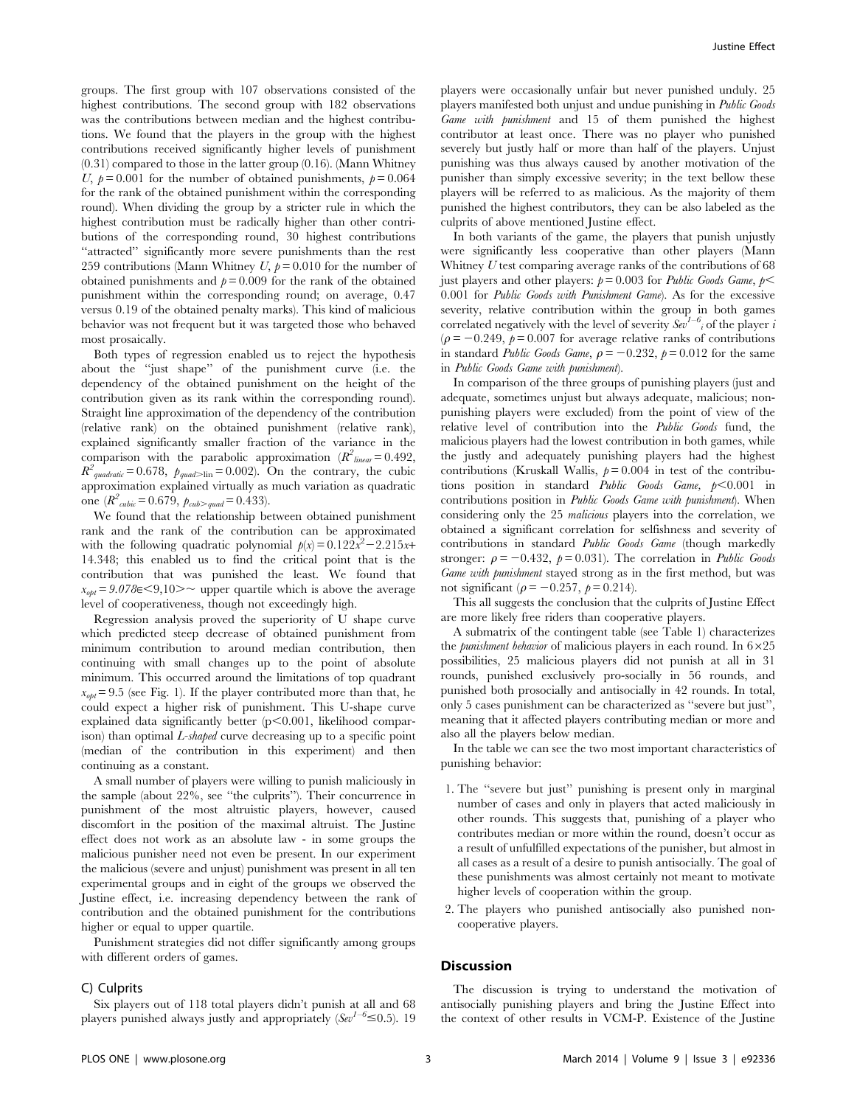groups. The first group with 107 observations consisted of the highest contributions. The second group with 182 observations was the contributions between median and the highest contributions. We found that the players in the group with the highest contributions received significantly higher levels of punishment (0.31) compared to those in the latter group (0.16). (Mann Whitney U,  $p = 0.001$  for the number of obtained punishments,  $p = 0.064$ for the rank of the obtained punishment within the corresponding round). When dividing the group by a stricter rule in which the highest contribution must be radically higher than other contributions of the corresponding round, 30 highest contributions "attracted" significantly more severe punishments than the rest 259 contributions (Mann Whitney  $U, p=0.010$  for the number of obtained punishments and  $p = 0.009$  for the rank of the obtained punishment within the corresponding round; on average, 0.47 versus 0.19 of the obtained penalty marks). This kind of malicious behavior was not frequent but it was targeted those who behaved most prosaically.

Both types of regression enabled us to reject the hypothesis about the ''just shape'' of the punishment curve (i.e. the dependency of the obtained punishment on the height of the contribution given as its rank within the corresponding round). Straight line approximation of the dependency of the contribution (relative rank) on the obtained punishment (relative rank), explained significantly smaller fraction of the variance in the comparison with the parabolic approximation  $(R^2_{linear} = 0.492)$ ,  $R^2_{\text{quadratic}} = 0.678$ ,  $p_{\text{quadratic}} = 0.002$ . On the contrary, the cubic approximation explained virtually as much variation as quadratic one  $(R^2_{\textit{cubic}}= 0.679, p_{\textit{cub}>quad} = 0.433)$ .

We found that the relationship between obtained punishment rank and the rank of the contribution can be approximated with the following quadratic polynomial  $p(x) = 0.122x^2 - 2.215x +$ 14.348; this enabled us to find the critical point that is the contribution that was punished the least. We found that  $x_{\text{opt}} = 9.078 \in \leq 9,10 \geq \infty$  upper quartile which is above the average level of cooperativeness, though not exceedingly high.

Regression analysis proved the superiority of U shape curve which predicted steep decrease of obtained punishment from minimum contribution to around median contribution, then continuing with small changes up to the point of absolute minimum. This occurred around the limitations of top quadrant  $x_{\text{opt}} = 9.5$  (see Fig. 1). If the player contributed more than that, he could expect a higher risk of punishment. This U-shape curve explained data significantly better  $(p<0.001$ , likelihood comparison) than optimal L-shaped curve decreasing up to a specific point (median of the contribution in this experiment) and then continuing as a constant.

A small number of players were willing to punish maliciously in the sample (about 22%, see ''the culprits''). Their concurrence in punishment of the most altruistic players, however, caused discomfort in the position of the maximal altruist. The Justine effect does not work as an absolute law - in some groups the malicious punisher need not even be present. In our experiment the malicious (severe and unjust) punishment was present in all ten experimental groups and in eight of the groups we observed the Justine effect, i.e. increasing dependency between the rank of contribution and the obtained punishment for the contributions higher or equal to upper quartile.

Punishment strategies did not differ significantly among groups with different orders of games.

#### C) Culprits

players were occasionally unfair but never punished unduly. 25 players manifested both unjust and undue punishing in Public Goods Game with punishment and 15 of them punished the highest contributor at least once. There was no player who punished severely but justly half or more than half of the players. Unjust punishing was thus always caused by another motivation of the punisher than simply excessive severity; in the text bellow these players will be referred to as malicious. As the majority of them punished the highest contributors, they can be also labeled as the culprits of above mentioned Justine effect.

In both variants of the game, the players that punish unjustly were significantly less cooperative than other players (Mann Whitney U test comparing average ranks of the contributions of 68 just players and other players:  $p = 0.003$  for *Public Goods Game, p* 0.001 for Public Goods with Punishment Game). As for the excessive severity, relative contribution within the group in both games correlated negatively with the level of severity  $Sev^{-1-\delta}$  of the player i  $(\rho = -0.249, p= 0.007$  for average relative ranks of contributions in standard *Public Goods Game,*  $\rho = -0.232$ ,  $p = 0.012$  for the same in Public Goods Game with punishment).

In comparison of the three groups of punishing players (just and adequate, sometimes unjust but always adequate, malicious; nonpunishing players were excluded) from the point of view of the relative level of contribution into the Public Goods fund, the malicious players had the lowest contribution in both games, while the justly and adequately punishing players had the highest contributions (Kruskall Wallis,  $p = 0.004$  in test of the contributions position in standard *Public Goods Game*,  $p < 0.001$  in contributions position in Public Goods Game with punishment). When considering only the 25 malicious players into the correlation, we obtained a significant correlation for selfishness and severity of contributions in standard Public Goods Game (though markedly stronger:  $\rho = -0.432$ ,  $p = 0.031$ ). The correlation in *Public Goods* Game with punishment stayed strong as in the first method, but was not significant ( $\rho = -0.257$ ,  $p = 0.214$ ).

This all suggests the conclusion that the culprits of Justine Effect are more likely free riders than cooperative players.

A submatrix of the contingent table (see Table 1) characterizes the *punishment behavior* of malicious players in each round. In  $6 \times 25$ possibilities, 25 malicious players did not punish at all in 31 rounds, punished exclusively pro-socially in 56 rounds, and punished both prosocially and antisocially in 42 rounds. In total, only 5 cases punishment can be characterized as ''severe but just'', meaning that it affected players contributing median or more and also all the players below median.

In the table we can see the two most important characteristics of punishing behavior:

- 1. The ''severe but just'' punishing is present only in marginal number of cases and only in players that acted maliciously in other rounds. This suggests that, punishing of a player who contributes median or more within the round, doesn't occur as a result of unfulfilled expectations of the punisher, but almost in all cases as a result of a desire to punish antisocially. The goal of these punishments was almost certainly not meant to motivate higher levels of cooperation within the group.
- 2. The players who punished antisocially also punished noncooperative players.

## **Discussion**

Six players out of 118 total players didn't punish at all and 68 players punished always justly and appropriately  $(Sev^{1-6} \le 0.5)$ . 19

The discussion is trying to understand the motivation of antisocially punishing players and bring the Justine Effect into the context of other results in VCM-P. Existence of the Justine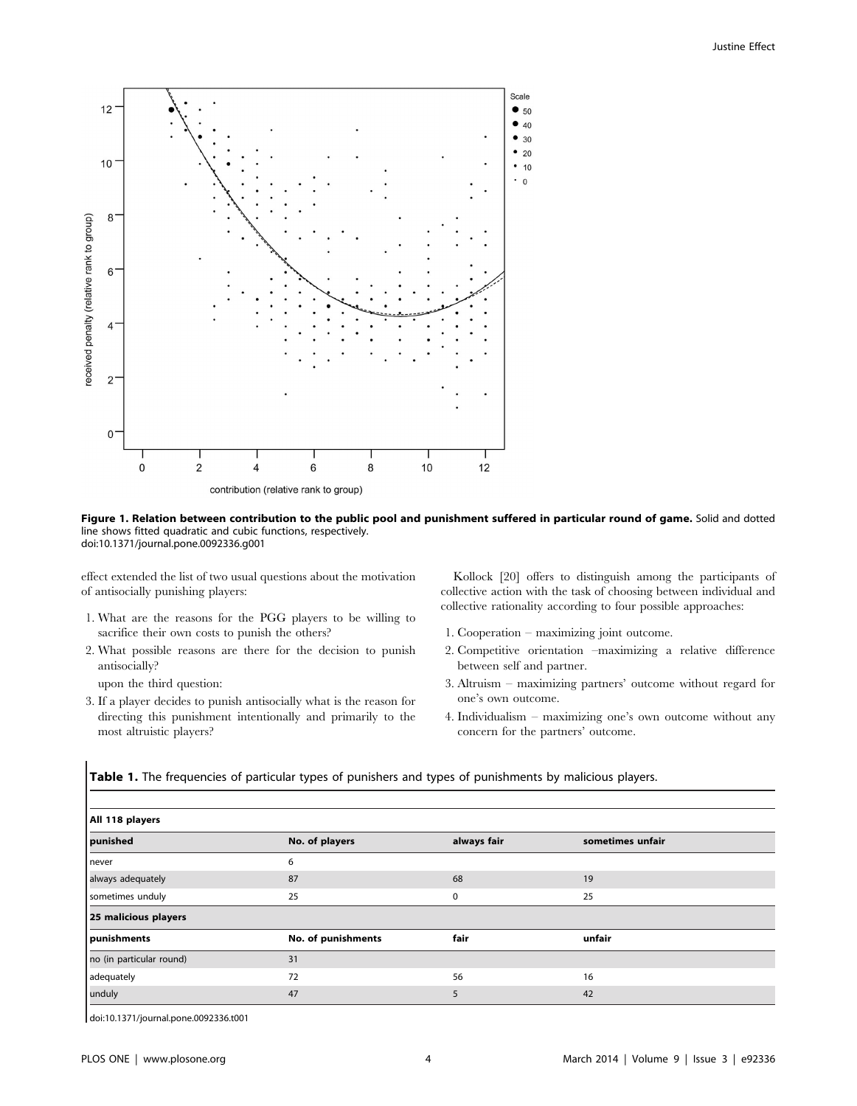

Figure 1. Relation between contribution to the public pool and punishment suffered in particular round of game. Solid and dotted line shows fitted quadratic and cubic functions, respectively. doi:10.1371/journal.pone.0092336.g001

effect extended the list of two usual questions about the motivation of antisocially punishing players:

- 1. What are the reasons for the PGG players to be willing to sacrifice their own costs to punish the others?
- 2. What possible reasons are there for the decision to punish antisocially?

upon the third question:

3. If a player decides to punish antisocially what is the reason for directing this punishment intentionally and primarily to the most altruistic players?

Kollock [20] offers to distinguish among the participants of collective action with the task of choosing between individual and collective rationality according to four possible approaches:

- 1. Cooperation maximizing joint outcome.
- 2. Competitive orientation –maximizing a relative difference between self and partner.
- 3. Altruism maximizing partners' outcome without regard for one's own outcome.
- 4. Individualism maximizing one's own outcome without any concern for the partners' outcome.

Table 1. The frequencies of particular types of punishers and types of punishments by malicious players.

| All 118 players          |                    |             |                  |  |  |  |  |  |  |  |
|--------------------------|--------------------|-------------|------------------|--|--|--|--|--|--|--|
| punished                 | No. of players     | always fair | sometimes unfair |  |  |  |  |  |  |  |
| never                    | 6                  |             |                  |  |  |  |  |  |  |  |
| always adequately        | 87                 | 68          | 19               |  |  |  |  |  |  |  |
| sometimes unduly         | 25                 | 0           | 25               |  |  |  |  |  |  |  |
| 25 malicious players     |                    |             |                  |  |  |  |  |  |  |  |
| punishments              | No. of punishments | fair        | unfair           |  |  |  |  |  |  |  |
| no (in particular round) | 31                 |             |                  |  |  |  |  |  |  |  |
| adequately               | 72                 | 56          | 16               |  |  |  |  |  |  |  |
| unduly                   | 47                 | 5           | 42               |  |  |  |  |  |  |  |

doi:10.1371/journal.pone.0092336.t001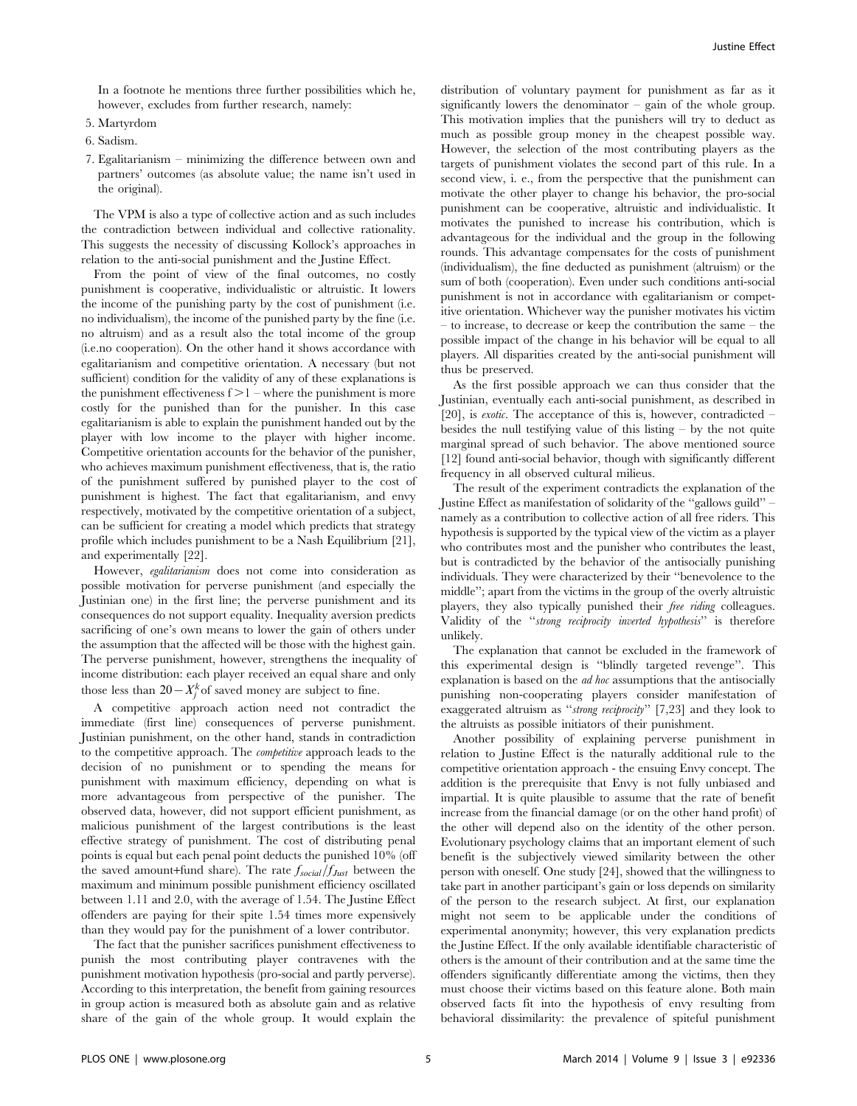In a footnote he mentions three further possibilities which he, however, excludes from further research, namely:

- 5. Martyrdom
- 6. Sadism.
- 7. Egalitarianism minimizing the difference between own and partners' outcomes (as absolute value; the name isn't used in the original).

The VPM is also a type of collective action and as such includes the contradiction between individual and collective rationality. This suggests the necessity of discussing Kollock's approaches in relation to the anti-social punishment and the Justine Effect.

From the point of view of the final outcomes, no costly punishment is cooperative, individualistic or altruistic. It lowers the income of the punishing party by the cost of punishment (i.e. no individualism), the income of the punished party by the fine (i.e. no altruism) and as a result also the total income of the group (i.e.no cooperation). On the other hand it shows accordance with egalitarianism and competitive orientation. A necessary (but not sufficient) condition for the validity of any of these explanations is the punishment effectiveness  $f > 1$  – where the punishment is more costly for the punished than for the punisher. In this case egalitarianism is able to explain the punishment handed out by the player with low income to the player with higher income. Competitive orientation accounts for the behavior of the punisher, who achieves maximum punishment effectiveness, that is, the ratio of the punishment suffered by punished player to the cost of punishment is highest. The fact that egalitarianism, and envy respectively, motivated by the competitive orientation of a subject, can be sufficient for creating a model which predicts that strategy profile which includes punishment to be a Nash Equilibrium [21], and experimentally [22].

However, egalitarianism does not come into consideration as possible motivation for perverse punishment (and especially the Justinian one) in the first line; the perverse punishment and its consequences do not support equality. Inequality aversion predicts sacrificing of one's own means to lower the gain of others under the assumption that the affected will be those with the highest gain. The perverse punishment, however, strengthens the inequality of income distribution: each player received an equal share and only those less than  $20 - X_j^k$  of saved money are subject to fine.

A competitive approach action need not contradict the immediate (first line) consequences of perverse punishment. Justinian punishment, on the other hand, stands in contradiction to the competitive approach. The competitive approach leads to the decision of no punishment or to spending the means for punishment with maximum efficiency, depending on what is more advantageous from perspective of the punisher. The observed data, however, did not support efficient punishment, as malicious punishment of the largest contributions is the least effective strategy of punishment. The cost of distributing penal points is equal but each penal point deducts the punished 10% (off the saved amount+fund share). The rate  $f_{social}/f_{Just}$  between the maximum and minimum possible punishment efficiency oscillated between 1.11 and 2.0, with the average of 1.54. The Justine Effect offenders are paying for their spite 1.54 times more expensively than they would pay for the punishment of a lower contributor.

The fact that the punisher sacrifices punishment effectiveness to punish the most contributing player contravenes with the punishment motivation hypothesis (pro-social and partly perverse). According to this interpretation, the benefit from gaining resources in group action is measured both as absolute gain and as relative share of the gain of the whole group. It would explain the

distribution of voluntary payment for punishment as far as it significantly lowers the denominator – gain of the whole group. This motivation implies that the punishers will try to deduct as much as possible group money in the cheapest possible way. However, the selection of the most contributing players as the targets of punishment violates the second part of this rule. In a second view, i. e., from the perspective that the punishment can motivate the other player to change his behavior, the pro-social punishment can be cooperative, altruistic and individualistic. It motivates the punished to increase his contribution, which is advantageous for the individual and the group in the following rounds. This advantage compensates for the costs of punishment (individualism), the fine deducted as punishment (altruism) or the sum of both (cooperation). Even under such conditions anti-social punishment is not in accordance with egalitarianism or competitive orientation. Whichever way the punisher motivates his victim – to increase, to decrease or keep the contribution the same – the possible impact of the change in his behavior will be equal to all players. All disparities created by the anti-social punishment will thus be preserved.

As the first possible approach we can thus consider that the Justinian, eventually each anti-social punishment, as described in [20], is *exotic*. The acceptance of this is, however, contradicted – besides the null testifying value of this listing – by the not quite marginal spread of such behavior. The above mentioned source [12] found anti-social behavior, though with significantly different frequency in all observed cultural milieus.

The result of the experiment contradicts the explanation of the Justine Effect as manifestation of solidarity of the ''gallows guild'' – namely as a contribution to collective action of all free riders. This hypothesis is supported by the typical view of the victim as a player who contributes most and the punisher who contributes the least, but is contradicted by the behavior of the antisocially punishing individuals. They were characterized by their ''benevolence to the middle''; apart from the victims in the group of the overly altruistic players, they also typically punished their *free riding* colleagues. Validity of the ''strong reciprocity inverted hypothesis'' is therefore unlikely.

The explanation that cannot be excluded in the framework of this experimental design is ''blindly targeted revenge''. This explanation is based on the ad hoc assumptions that the antisocially punishing non-cooperating players consider manifestation of exaggerated altruism as "strong reciprocity" [7,23] and they look to the altruists as possible initiators of their punishment.

Another possibility of explaining perverse punishment in relation to Justine Effect is the naturally additional rule to the competitive orientation approach - the ensuing Envy concept. The addition is the prerequisite that Envy is not fully unbiased and impartial. It is quite plausible to assume that the rate of benefit increase from the financial damage (or on the other hand profit) of the other will depend also on the identity of the other person. Evolutionary psychology claims that an important element of such benefit is the subjectively viewed similarity between the other person with oneself. One study [24], showed that the willingness to take part in another participant's gain or loss depends on similarity of the person to the research subject. At first, our explanation might not seem to be applicable under the conditions of experimental anonymity; however, this very explanation predicts the Justine Effect. If the only available identifiable characteristic of others is the amount of their contribution and at the same time the offenders significantly differentiate among the victims, then they must choose their victims based on this feature alone. Both main observed facts fit into the hypothesis of envy resulting from behavioral dissimilarity: the prevalence of spiteful punishment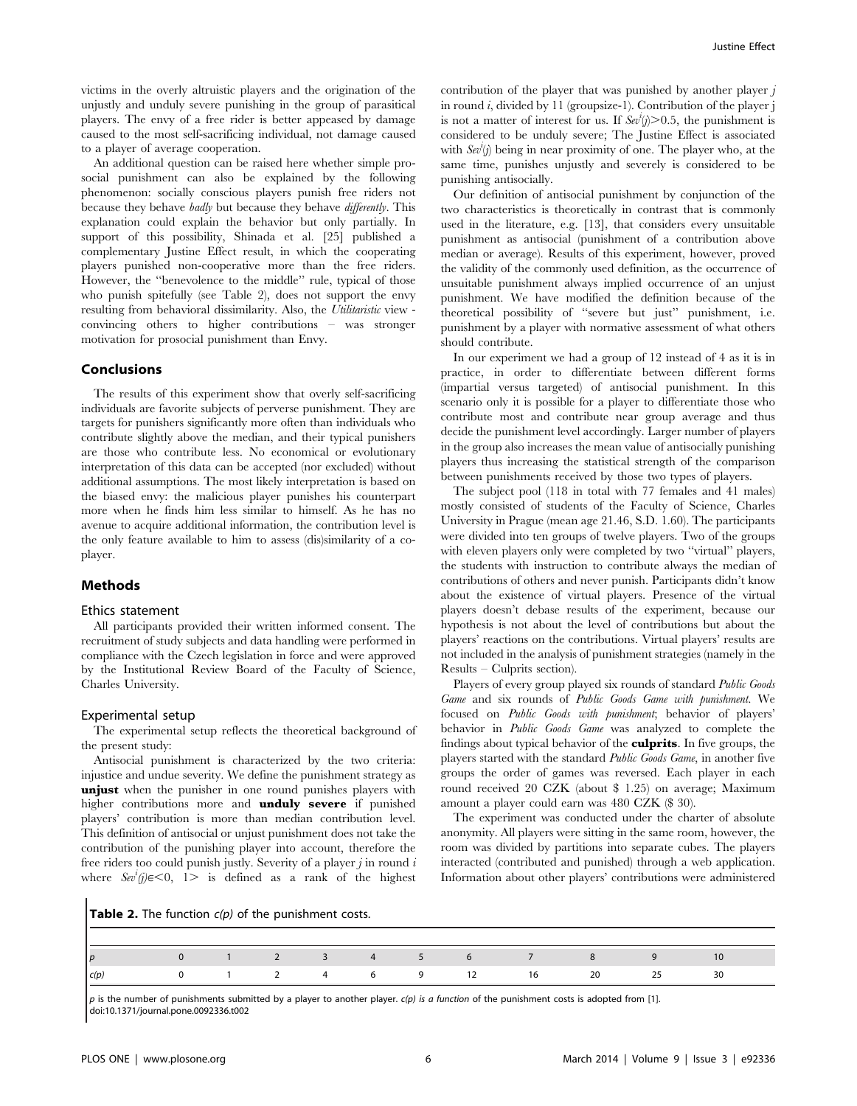victims in the overly altruistic players and the origination of the unjustly and unduly severe punishing in the group of parasitical players. The envy of a free rider is better appeased by damage caused to the most self-sacrificing individual, not damage caused to a player of average cooperation.

An additional question can be raised here whether simple prosocial punishment can also be explained by the following phenomenon: socially conscious players punish free riders not because they behave badly but because they behave differently. This explanation could explain the behavior but only partially. In support of this possibility, Shinada et al. [25] published a complementary Justine Effect result, in which the cooperating players punished non-cooperative more than the free riders. However, the ''benevolence to the middle'' rule, typical of those who punish spitefully (see Table 2), does not support the envy resulting from behavioral dissimilarity. Also, the Utilitaristic view convincing others to higher contributions – was stronger motivation for prosocial punishment than Envy.

#### Conclusions

The results of this experiment show that overly self-sacrificing individuals are favorite subjects of perverse punishment. They are targets for punishers significantly more often than individuals who contribute slightly above the median, and their typical punishers are those who contribute less. No economical or evolutionary interpretation of this data can be accepted (nor excluded) without additional assumptions. The most likely interpretation is based on the biased envy: the malicious player punishes his counterpart more when he finds him less similar to himself. As he has no avenue to acquire additional information, the contribution level is the only feature available to him to assess (dis)similarity of a coplayer.

#### Methods

#### Ethics statement

All participants provided their written informed consent. The recruitment of study subjects and data handling were performed in compliance with the Czech legislation in force and were approved by the Institutional Review Board of the Faculty of Science, Charles University.

#### Experimental setup

The experimental setup reflects the theoretical background of the present study:

Antisocial punishment is characterized by the two criteria: injustice and undue severity. We define the punishment strategy as unjust when the punisher in one round punishes players with higher contributions more and **unduly severe** if punished players' contribution is more than median contribution level. This definition of antisocial or unjust punishment does not take the contribution of the punishing player into account, therefore the free riders too could punish justly. Severity of a player  $j$  in round  $i$ where  $\frac{Sev^i(j)}{\infty}$  (1. is defined as a rank of the highest

contribution of the player that was punished by another player  $j$ in round  $i$ , divided by 11 (groupsize-1). Contribution of the player j is not a matter of interest for us. If  $\textit{Sev}^i(j) > 0.5$ , the punishment is considered to be unduly severe; The Justine Effect is associated with  $Se^{i'}(j)$  being in near proximity of one. The player who, at the same time, punishes unjustly and severely is considered to be punishing antisocially.

Our definition of antisocial punishment by conjunction of the two characteristics is theoretically in contrast that is commonly used in the literature, e.g. [13], that considers every unsuitable punishment as antisocial (punishment of a contribution above median or average). Results of this experiment, however, proved the validity of the commonly used definition, as the occurrence of unsuitable punishment always implied occurrence of an unjust punishment. We have modified the definition because of the theoretical possibility of ''severe but just'' punishment, i.e. punishment by a player with normative assessment of what others should contribute.

In our experiment we had a group of 12 instead of 4 as it is in practice, in order to differentiate between different forms (impartial versus targeted) of antisocial punishment. In this scenario only it is possible for a player to differentiate those who contribute most and contribute near group average and thus decide the punishment level accordingly. Larger number of players in the group also increases the mean value of antisocially punishing players thus increasing the statistical strength of the comparison between punishments received by those two types of players.

The subject pool (118 in total with 77 females and 41 males) mostly consisted of students of the Faculty of Science, Charles University in Prague (mean age 21.46, S.D. 1.60). The participants were divided into ten groups of twelve players. Two of the groups with eleven players only were completed by two ''virtual'' players, the students with instruction to contribute always the median of contributions of others and never punish. Participants didn't know about the existence of virtual players. Presence of the virtual players doesn't debase results of the experiment, because our hypothesis is not about the level of contributions but about the players' reactions on the contributions. Virtual players' results are not included in the analysis of punishment strategies (namely in the Results – Culprits section).

Players of every group played six rounds of standard Public Goods Game and six rounds of Public Goods Game with punishment. We focused on Public Goods with punishment; behavior of players' behavior in Public Goods Game was analyzed to complete the findings about typical behavior of the **culprits**. In five groups, the players started with the standard Public Goods Game, in another five groups the order of games was reversed. Each player in each round received 20 CZK (about \$ 1.25) on average; Maximum amount a player could earn was 480 CZK (\$ 30).

The experiment was conducted under the charter of absolute anonymity. All players were sitting in the same room, however, the room was divided by partitions into separate cubes. The players interacted (contributed and punished) through a web application. Information about other players' contributions were administered

Table 2. The function  $c(p)$  of the punishment costs.

| $\mathsf{I}_{\mathcal{D}}$ |  |  |  |  |                         |  |
|----------------------------|--|--|--|--|-------------------------|--|
| c(b)                       |  |  |  |  | 0 1 2 4 6 9 12 16 20 25 |  |

p is the number of punishments submitted by a player to another player.  $c(p)$  is a function of the punishment costs is adopted from [1]. doi:10.1371/journal.pone.0092336.t002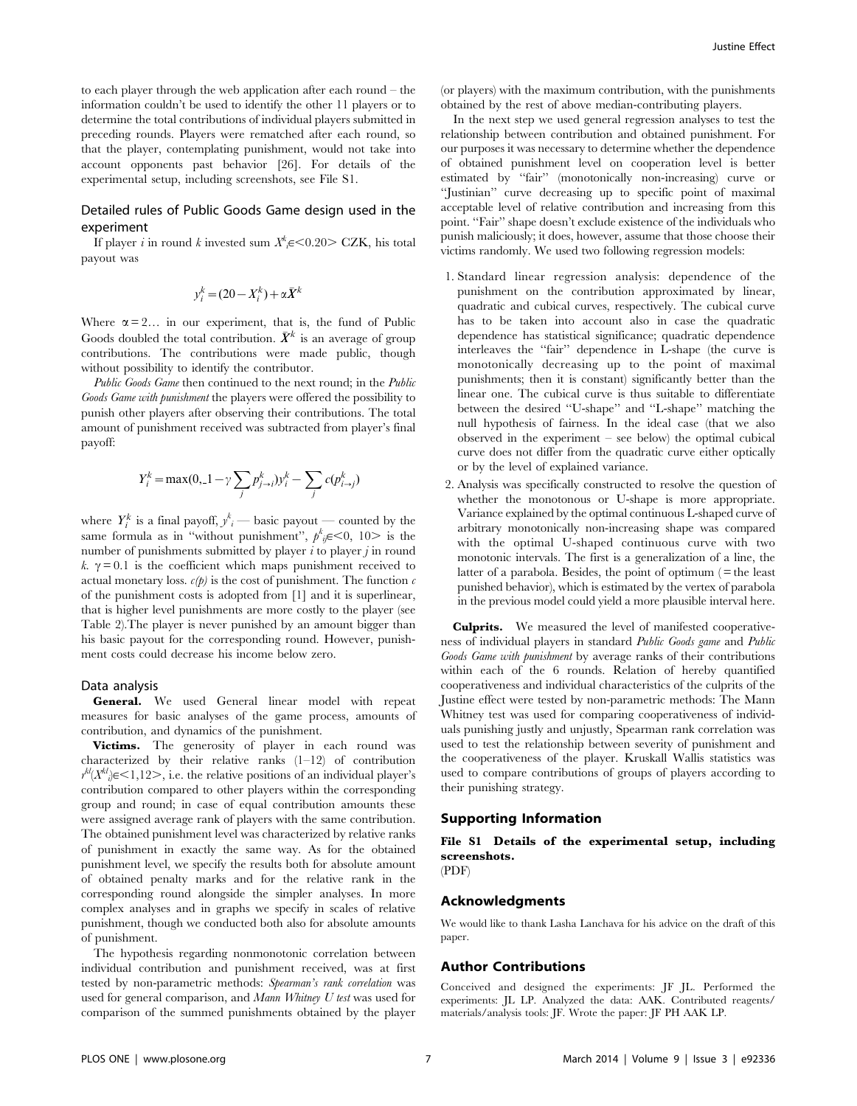to each player through the web application after each round – the information couldn't be used to identify the other 11 players or to determine the total contributions of individual players submitted in preceding rounds. Players were rematched after each round, so that the player, contemplating punishment, would not take into account opponents past behavior [26]. For details of the experimental setup, including screenshots, see File S1.

#### Detailed rules of Public Goods Game design used in the experiment

If player *i* in round *k* invested sum  $X^k{}_i \in \leq 0.20$   $\geq$  CZK, his total payout was

$$
y_i^k = (20 - X_i^k) + \alpha \bar{X}^k
$$

Where  $\alpha = 2...$  in our experiment, that is, the fund of Public Goods doubled the total contribution.  $\bar{X}^k$  is an average of group contributions. The contributions were made public, though without possibility to identify the contributor.

Public Goods Game then continued to the next round; in the Public Goods Game with punishment the players were offered the possibility to punish other players after observing their contributions. The total amount of punishment received was subtracted from player's final payoff:

$$
Y_i^k = \max(0, -1 - \gamma \sum_j p_{j \to i}^k) y_i^k - \sum_j c(p_{i \to j}^k)
$$

where  $Y_i^k$  is a final payoff,  $y_i^k$  — basic payout — counted by the same formula as in "without punishment",  $p^k_{ij} \in 0$ , 10> is the number of punishments submitted by player  $i$  to player  $j$  in round k.  $\gamma = 0.1$  is the coefficient which maps punishment received to actual monetary loss.  $c(p)$  is the cost of punishment. The function  $c$ of the punishment costs is adopted from [1] and it is superlinear, that is higher level punishments are more costly to the player (see Table 2).The player is never punished by an amount bigger than his basic payout for the corresponding round. However, punishment costs could decrease his income below zero.

#### Data analysis

General. We used General linear model with repeat measures for basic analyses of the game process, amounts of contribution, and dynamics of the punishment.

Victims. The generosity of player in each round was characterized by their relative ranks (1–12) of contribution  $r^{kl}(X^{kl}) \in \leq 1,12>$ , i.e. the relative positions of an individual player's contribution compared to other players within the corresponding group and round; in case of equal contribution amounts these were assigned average rank of players with the same contribution. The obtained punishment level was characterized by relative ranks of punishment in exactly the same way. As for the obtained punishment level, we specify the results both for absolute amount of obtained penalty marks and for the relative rank in the corresponding round alongside the simpler analyses. In more complex analyses and in graphs we specify in scales of relative punishment, though we conducted both also for absolute amounts of punishment.

The hypothesis regarding nonmonotonic correlation between individual contribution and punishment received, was at first tested by non-parametric methods: Spearman's rank correlation was used for general comparison, and Mann Whitney U test was used for comparison of the summed punishments obtained by the player

(or players) with the maximum contribution, with the punishments obtained by the rest of above median-contributing players.

In the next step we used general regression analyses to test the relationship between contribution and obtained punishment. For our purposes it was necessary to determine whether the dependence of obtained punishment level on cooperation level is better estimated by ''fair'' (monotonically non-increasing) curve or ''Justinian'' curve decreasing up to specific point of maximal acceptable level of relative contribution and increasing from this point. ''Fair'' shape doesn't exclude existence of the individuals who punish maliciously; it does, however, assume that those choose their victims randomly. We used two following regression models:

- 1. Standard linear regression analysis: dependence of the punishment on the contribution approximated by linear, quadratic and cubical curves, respectively. The cubical curve has to be taken into account also in case the quadratic dependence has statistical significance; quadratic dependence interleaves the ''fair'' dependence in L-shape (the curve is monotonically decreasing up to the point of maximal punishments; then it is constant) significantly better than the linear one. The cubical curve is thus suitable to differentiate between the desired ''U-shape'' and ''L-shape'' matching the null hypothesis of fairness. In the ideal case (that we also observed in the experiment – see below) the optimal cubical curve does not differ from the quadratic curve either optically or by the level of explained variance.
- 2. Analysis was specifically constructed to resolve the question of whether the monotonous or U-shape is more appropriate. Variance explained by the optimal continuous L-shaped curve of arbitrary monotonically non-increasing shape was compared with the optimal U-shaped continuous curve with two monotonic intervals. The first is a generalization of a line, the latter of a parabola. Besides, the point of optimum  $( =$  the least punished behavior), which is estimated by the vertex of parabola in the previous model could yield a more plausible interval here.

Culprits. We measured the level of manifested cooperativeness of individual players in standard Public Goods game and Public Goods Game with punishment by average ranks of their contributions within each of the 6 rounds. Relation of hereby quantified cooperativeness and individual characteristics of the culprits of the Justine effect were tested by non-parametric methods: The Mann Whitney test was used for comparing cooperativeness of individuals punishing justly and unjustly, Spearman rank correlation was used to test the relationship between severity of punishment and the cooperativeness of the player. Kruskall Wallis statistics was used to compare contributions of groups of players according to their punishing strategy.

#### Supporting Information

File S1 Details of the experimental setup, including screenshots. (PDF)

# Acknowledgments

We would like to thank Lasha Lanchava for his advice on the draft of this paper.

#### Author Contributions

Conceived and designed the experiments: JF JL. Performed the experiments: JL LP. Analyzed the data: AAK. Contributed reagents/ materials/analysis tools: JF. Wrote the paper: JF PH AAK LP.